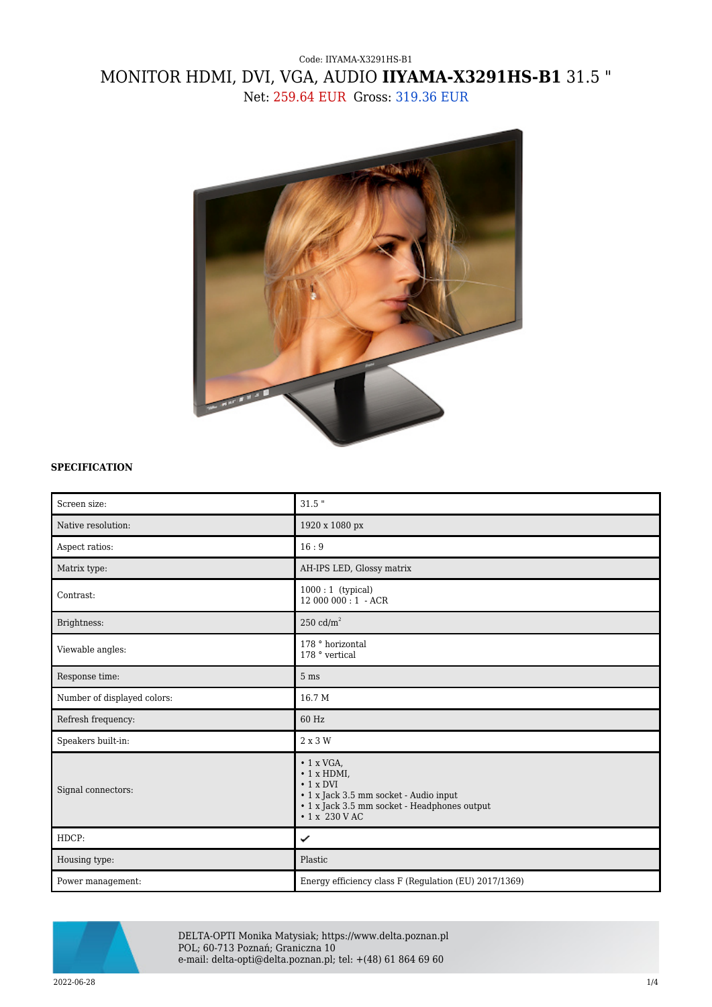## Code: IIYAMA-X3291HS-B1 MONITOR HDMI, DVI, VGA, AUDIO **IIYAMA-X3291HS-B1** 31.5 " Net: 259.64 EUR Gross: 319.36 EUR



## **SPECIFICATION**

| Screen size:                | $31.5$ "                                                                                                                                                                           |
|-----------------------------|------------------------------------------------------------------------------------------------------------------------------------------------------------------------------------|
| Native resolution:          | 1920 x 1080 px                                                                                                                                                                     |
| Aspect ratios:              | 16:9                                                                                                                                                                               |
| Matrix type:                | AH-IPS LED, Glossy matrix                                                                                                                                                          |
| Contrast:                   | $1000:1$ (typical)<br>12 000 000:1 - ACR                                                                                                                                           |
| Brightness:                 | 250 $cd/m2$                                                                                                                                                                        |
| Viewable angles:            | 178 ° horizontal<br>178 ° vertical                                                                                                                                                 |
| Response time:              | 5 <sub>ms</sub>                                                                                                                                                                    |
| Number of displayed colors: | 16.7 M                                                                                                                                                                             |
| Refresh frequency:          | 60 Hz                                                                                                                                                                              |
| Speakers built-in:          | 2 x 3 W                                                                                                                                                                            |
| Signal connectors:          | $\cdot$ 1 x VGA,<br>$\cdot$ 1 x HDMI,<br>$\cdot$ 1 x DVI<br>$\bullet$ 1 x Jack 3.5 mm socket - Audio input<br>• 1 x Jack 3.5 mm socket - Headphones output<br>$\cdot$ 1 x 230 V AC |
| HDCP:                       | ✓                                                                                                                                                                                  |
| Housing type:               | Plastic                                                                                                                                                                            |
| Power management:           | Energy efficiency class F (Regulation (EU) 2017/1369)                                                                                                                              |



DELTA-OPTI Monika Matysiak; https://www.delta.poznan.pl POL; 60-713 Poznań; Graniczna 10 e-mail: delta-opti@delta.poznan.pl; tel: +(48) 61 864 69 60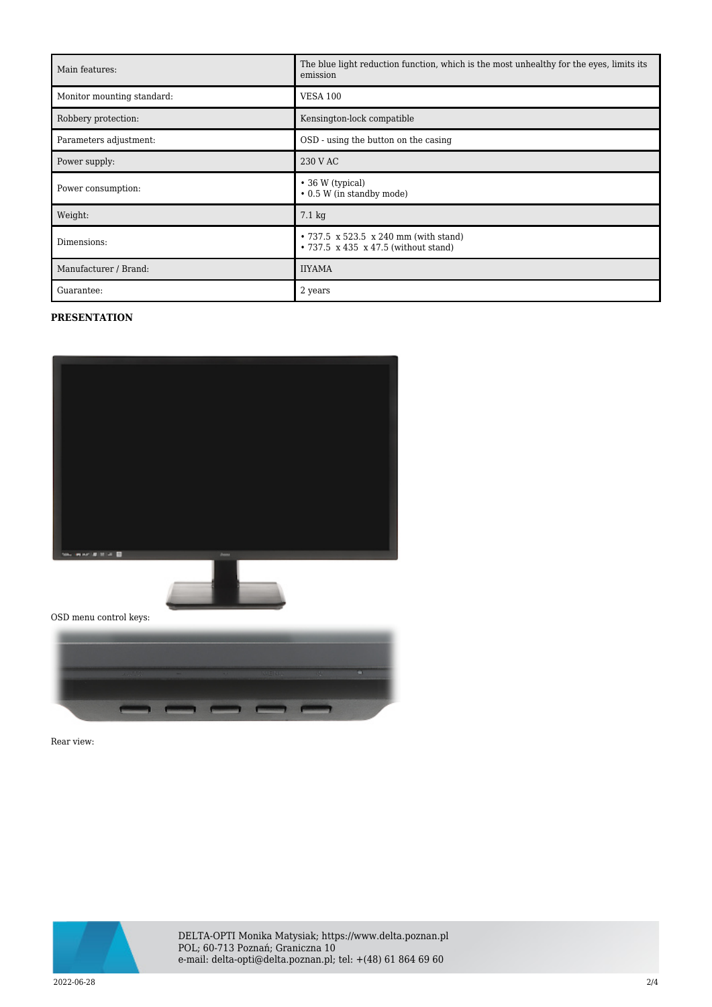| Main features:             | The blue light reduction function, which is the most unhealthy for the eyes, limits its<br>emission |
|----------------------------|-----------------------------------------------------------------------------------------------------|
| Monitor mounting standard: | <b>VESA 100</b>                                                                                     |
| Robbery protection:        | Kensington-lock compatible                                                                          |
| Parameters adjustment:     | OSD - using the button on the casing                                                                |
| Power supply:              | 230 V AC                                                                                            |
| Power consumption:         | $\cdot$ 36 W (typical)<br>• 0.5 W (in standby mode)                                                 |
| Weight:                    | $7.1 \text{ kg}$                                                                                    |
| Dimensions:                | • 737.5 x 523.5 x 240 mm (with stand)<br>• 737.5 x 435 x 47.5 (without stand)                       |
| Manufacturer / Brand:      | <b>IIYAMA</b>                                                                                       |
| Guarantee:                 | 2 years                                                                                             |

## **PRESENTATION**



OSD menu control keys:



Rear view:



DELTA-OPTI Monika Matysiak; https://www.delta.poznan.pl POL; 60-713 Poznań; Graniczna 10 e-mail: delta-opti@delta.poznan.pl; tel: +(48) 61 864 69 60

2022-06-28 2/4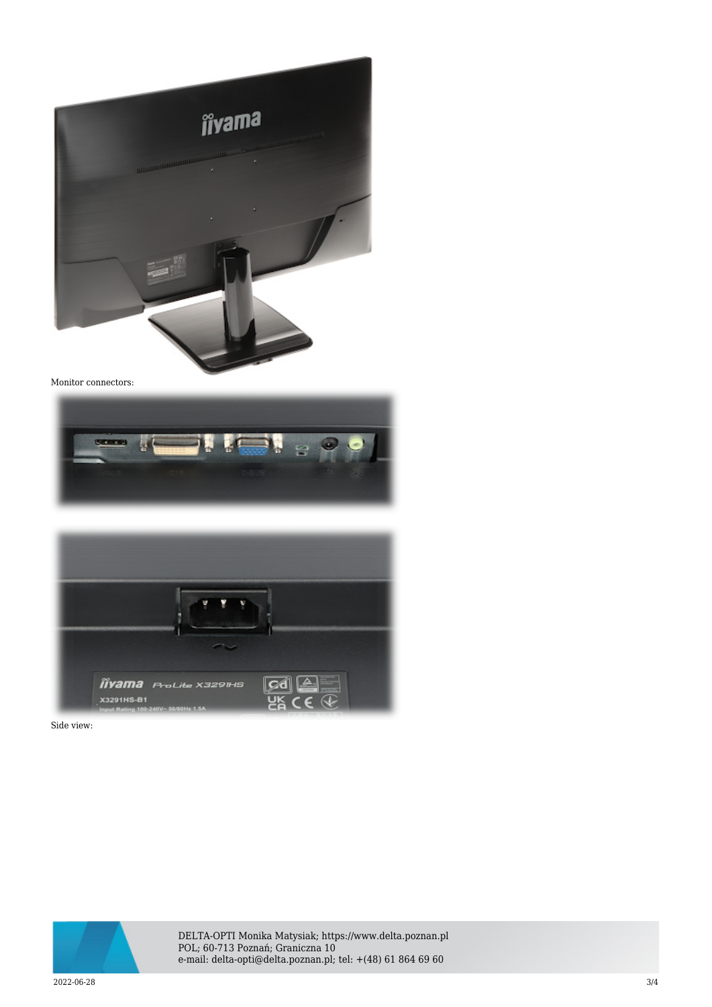

Monitor connectors:





Side view:



DELTA-OPTI Monika Matysiak; https://www.delta.poznan.pl POL; 60-713 Poznań; Graniczna 10 e-mail: delta-opti@delta.poznan.pl; tel: +(48) 61 864 69 60

2022-06-28 3/4